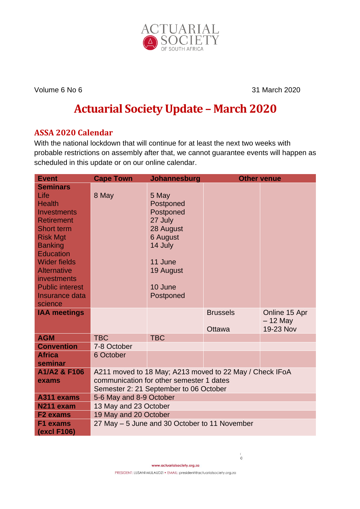

Volume 6 No 6 31 March 2020

# **Actuarial Society Update – March 2020**

# **ASSA 2020 Calendar**

With the national lockdown that will continue for at least the next two weeks with probable restrictions on assembly after that, we cannot guarantee events will happen as scheduled in this update or on our online calendar.

| <b>Event</b>           | <b>Cape Town</b>                                        | Johannesburg | <b>Other venue</b> |               |
|------------------------|---------------------------------------------------------|--------------|--------------------|---------------|
| <b>Seminars</b>        |                                                         |              |                    |               |
| Life                   | 8 May                                                   | 5 May        |                    |               |
| <b>Health</b>          |                                                         | Postponed    |                    |               |
| <b>Investments</b>     |                                                         | Postponed    |                    |               |
| <b>Retirement</b>      |                                                         | 27 July      |                    |               |
| <b>Short term</b>      |                                                         | 28 August    |                    |               |
| <b>Risk Mgt</b>        |                                                         | 6 August     |                    |               |
| <b>Banking</b>         |                                                         | 14 July      |                    |               |
| <b>Education</b>       |                                                         |              |                    |               |
| <b>Wider fields</b>    |                                                         | 11 June      |                    |               |
| <b>Alternative</b>     |                                                         | 19 August    |                    |               |
| investments            |                                                         |              |                    |               |
| <b>Public interest</b> |                                                         | 10 June      |                    |               |
| Insurance data         |                                                         | Postponed    |                    |               |
| science                |                                                         |              |                    |               |
| <b>IAA meetings</b>    |                                                         |              | <b>Brussels</b>    | Online 15 Apr |
|                        |                                                         |              |                    | – 12 May      |
|                        |                                                         |              | <b>Ottawa</b>      | 19-23 Nov     |
| <b>AGM</b>             | <b>TBC</b>                                              | <b>TBC</b>   |                    |               |
| <b>Convention</b>      | 7-8 October                                             |              |                    |               |
| <b>Africa</b>          | 6 October                                               |              |                    |               |
| seminar                |                                                         |              |                    |               |
| A1/A2 & F106           | A211 moved to 18 May; A213 moved to 22 May / Check IFoA |              |                    |               |
| exams                  | communication for other semester 1 dates                |              |                    |               |
|                        | Semester 2: 21 September to 06 October                  |              |                    |               |
| A311 exams             | 5-6 May and 8-9 October                                 |              |                    |               |
| N211 exam              | 13 May and 23 October                                   |              |                    |               |
| <b>F2</b> exams        | 19 May and 20 October                                   |              |                    |               |
| F1 exams               | 27 May – 5 June and 30 October to 11 November           |              |                    |               |
| (excl F106)            |                                                         |              |                    |               |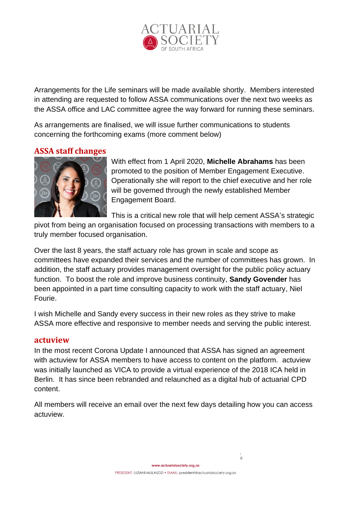

Arrangements for the Life seminars will be made available shortly. Members interested in attending are requested to follow ASSA communications over the next two weeks as the ASSA office and LAC committee agree the way forward for running these seminars.

As arrangements are finalised, we will issue further communications to students concerning the forthcoming exams (more comment below)

# **ASSA staff changes**



With effect from 1 April 2020, **Michelle Abrahams** has been promoted to the position of Member Engagement Executive. Operationally she will report to the chief executive and her role will be governed through the newly established Member Engagement Board.

This is a critical new role that will help cement ASSA's strategic

pivot from being an organisation focused on processing transactions with members to a truly member focused organisation.

Over the last 8 years, the staff actuary role has grown in scale and scope as committees have expanded their services and the number of committees has grown. In addition, the staff actuary provides management oversight for the public policy actuary function. To boost the role and improve business continuity, **Sandy Govender** has been appointed in a part time consulting capacity to work with the staff actuary, Niel Fourie.

I wish Michelle and Sandy every success in their new roles as they strive to make ASSA more effective and responsive to member needs and serving the public interest.

#### **actuview**

In the most recent Corona Update I announced that ASSA has signed an agreement with actuview for ASSA members to have access to content on the platform. actuview was initially launched as VICA to provide a virtual experience of the 2018 ICA held in Berlin. It has since been rebranded and relaunched as a digital hub of actuarial CPD content.

All members will receive an email over the next few days detailing how you can access actuview.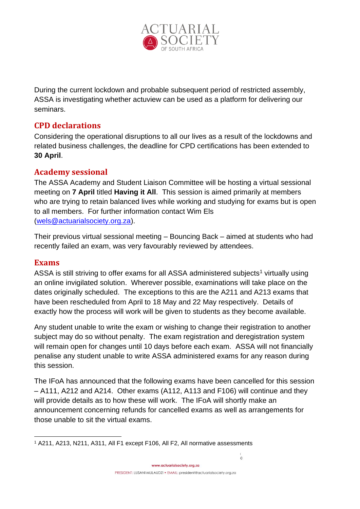

During the current lockdown and probable subsequent period of restricted assembly, ASSA is investigating whether actuview can be used as a platform for delivering our seminars.

## **CPD declarations**

Considering the operational disruptions to all our lives as a result of the lockdowns and related business challenges, the deadline for CPD certifications has been extended to **30 April**.

## **Academy sessional**

The ASSA Academy and Student Liaison Committee will be hosting a virtual sessional meeting on **7 April** titled **Having it All**. This session is aimed primarily at members who are trying to retain balanced lives while working and studying for exams but is open to all members. For further information contact Wim Els [\(wels@actuarialsociety.org.za\)](mailto:wels@actuarialsociety.org.za).

Their previous virtual sessional meeting – Bouncing Back – aimed at students who had recently failed an exam, was very favourably reviewed by attendees.

## **Exams**

ASSA is still striving to offer exams for all ASSA administered subjects<sup>1</sup> virtually using an online invigilated solution. Wherever possible, examinations will take place on the dates originally scheduled. The exceptions to this are the A211 and A213 exams that have been rescheduled from April to 18 May and 22 May respectively. Details of exactly how the process will work will be given to students as they become available.

Any student unable to write the exam or wishing to change their registration to another subject may do so without penalty. The exam registration and deregistration system will remain open for changes until 10 days before each exam. ASSA will not financially penalise any student unable to write ASSA administered exams for any reason during this session.

The IFoA has announced that the following exams have been cancelled for this session – A111, A212 and A214. Other exams (A112, A113 and F106) will continue and they will provide details as to how these will work. The IFoA will shortly make an announcement concerning refunds for cancelled exams as well as arrangements for those unable to sit the virtual exams.

 $\overline{0}$ 

<sup>1</sup> A211, A213, N211, A311, All F1 except F106, All F2, All normative assessments